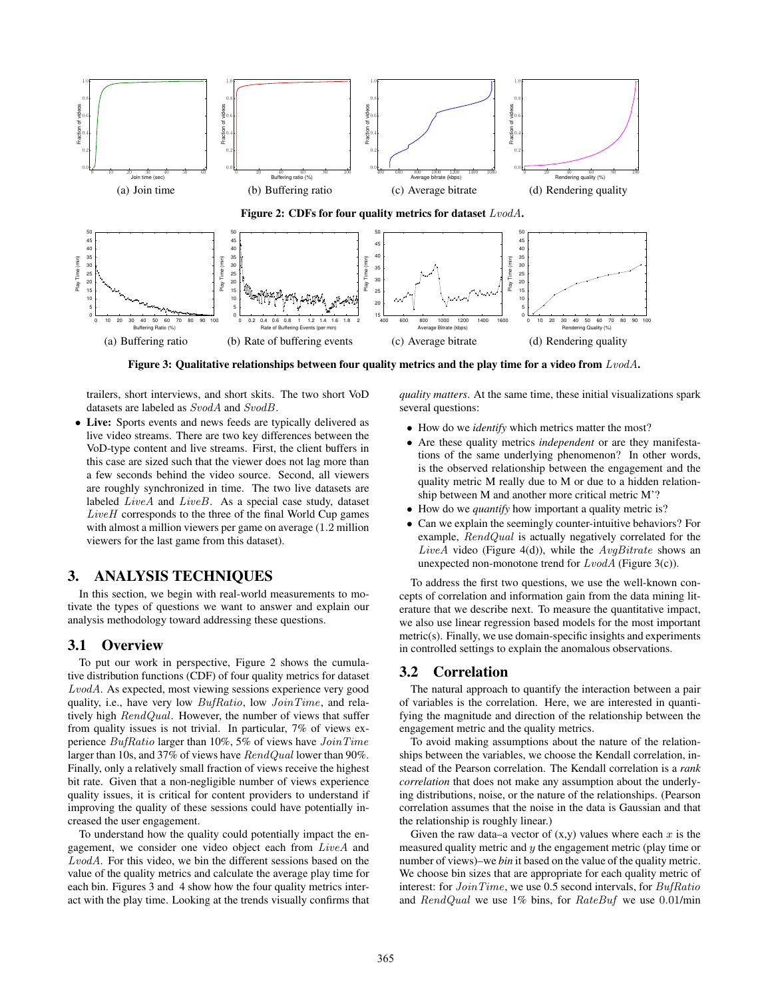

Figure 3: Qualitative relationships between four quality metrics and the play time for a video from  $LvodA$ .

trailers, short interviews, and short skits. The two short VoD datasets are labeled as SvodA and SvodB.

• Live: Sports events and news feeds are typically delivered as live video streams. There are two key differences between the VoD-type content and live streams. First, the client buffers in this case are sized such that the viewer does not lag more than a few seconds behind the video source. Second, all viewers are roughly synchronized in time. The two live datasets are labeled *LiveA* and *LiveB*. As a special case study, dataset  $LiveH$  corresponds to the three of the final World Cup games with almost a million viewers per game on average (1.2 million viewers for the last game from this dataset).

## 3. ANALYSIS TECHNIQUES

In this section, we begin with real-world measurements to motivate the types of questions we want to answer and explain our analysis methodology toward addressing these questions.

## 3.1 Overview

To put our work in perspective, Figure 2 shows the cumulative distribution functions (CDF) of four quality metrics for dataset LvodA. As expected, most viewing sessions experience very good quality, i.e., have very low  $BufRatio$ , low  $JoinTime$ , and relatively high  $\text{RealQual.}$  However, the number of views that suffer from quality issues is not trivial. In particular, 7% of views experience BufRatio larger than 10%, 5% of views have JoinTime larger than 10s, and 37% of views have RendQual lower than 90%. Finally, only a relatively small fraction of views receive the highest bit rate. Given that a non-negligible number of views experience quality issues, it is critical for content providers to understand if improving the quality of these sessions could have potentially increased the user engagement.

To understand how the quality could potentially impact the engagement, we consider one video object each from LiveA and  $LvodA$ . For this video, we bin the different sessions based on the value of the quality metrics and calculate the average play time for each bin. Figures 3 and 4 show how the four quality metrics interact with the play time. Looking at the trends visually confirms that *quality matters*. At the same time, these initial visualizations spark several questions:

- How do we *identify* which metrics matter the most?
- Are these quality metrics *independent* or are they manifestations of the same underlying phenomenon? In other words, is the observed relationship between the engagement and the quality metric M really due to M or due to a hidden relationship between M and another more critical metric M'?
- How do we *quantify* how important a quality metric is?
- Can we explain the seemingly counter-intuitive behaviors? For example, RendQual is actually negatively correlated for the LiveA video (Figure 4(d)), while the  $AvgBitrate$  shows an unexpected non-monotone trend for  $LvodA$  (Figure 3(c)).

To address the first two questions, we use the well-known concepts of correlation and information gain from the data mining literature that we describe next. To measure the quantitative impact, we also use linear regression based models for the most important metric(s). Finally, we use domain-specific insights and experiments in controlled settings to explain the anomalous observations.

## 3.2 Correlation

The natural approach to quantify the interaction between a pair of variables is the correlation. Here, we are interested in quantifying the magnitude and direction of the relationship between the engagement metric and the quality metrics.

To avoid making assumptions about the nature of the relationships between the variables, we choose the Kendall correlation, instead of the Pearson correlation. The Kendall correlation is a *rank correlation* that does not make any assumption about the underlying distributions, noise, or the nature of the relationships. (Pearson correlation assumes that the noise in the data is Gaussian and that the relationship is roughly linear.)

Given the raw data–a vector of  $(x,y)$  values where each x is the measured quality metric and  $y$  the engagement metric (play time or number of views)–we *bin* it based on the value of the quality metric. We choose bin sizes that are appropriate for each quality metric of interest: for JoinTime, we use 0.5 second intervals, for BufRatio and  $\text{Rendquad}$  we use 1% bins, for  $\text{RateBut}$  we use 0.01/min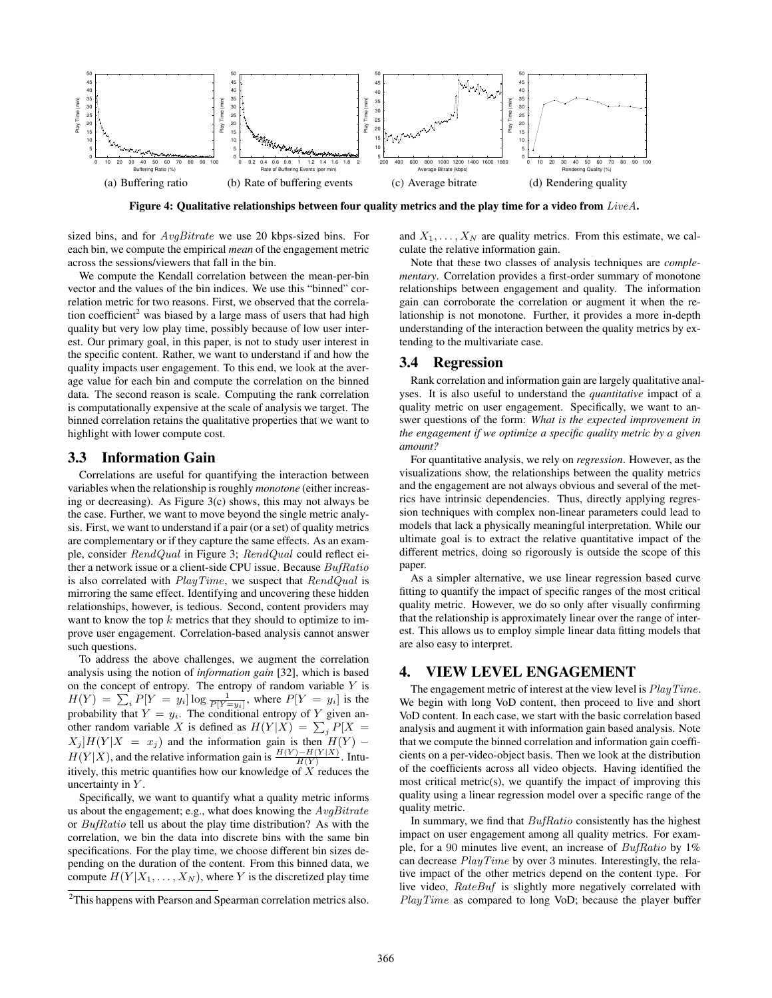

Figure 4: Qualitative relationships between four quality metrics and the play time for a video from  $LiveA$ .

sized bins, and for  $AvgBitrate$  we use 20 kbps-sized bins. For each bin, we compute the empirical *mean* of the engagement metric across the sessions/viewers that fall in the bin.

We compute the Kendall correlation between the mean-per-bin vector and the values of the bin indices. We use this "binned" correlation metric for two reasons. First, we observed that the correlation coefficient<sup>2</sup> was biased by a large mass of users that had high quality but very low play time, possibly because of low user interest. Our primary goal, in this paper, is not to study user interest in the specific content. Rather, we want to understand if and how the quality impacts user engagement. To this end, we look at the average value for each bin and compute the correlation on the binned data. The second reason is scale. Computing the rank correlation is computationally expensive at the scale of analysis we target. The binned correlation retains the qualitative properties that we want to highlight with lower compute cost.

#### 3.3 Information Gain

Correlations are useful for quantifying the interaction between variables when the relationship is roughly *monotone* (either increasing or decreasing). As Figure 3(c) shows, this may not always be the case. Further, we want to move beyond the single metric analysis. First, we want to understand if a pair (or a set) of quality metrics are complementary or if they capture the same effects. As an example, consider RendQual in Figure 3; RendQual could reflect either a network issue or a client-side CPU issue. Because BufRatio is also correlated with  $PlayTime$ , we suspect that  $RendQual$  is mirroring the same effect. Identifying and uncovering these hidden relationships, however, is tedious. Second, content providers may want to know the top  $k$  metrics that they should to optimize to improve user engagement. Correlation-based analysis cannot answer such questions.

To address the above challenges, we augment the correlation analysis using the notion of *information gain* [32], which is based on the concept of entropy. The entropy of random variable  $Y$  is  $H(Y) = \sum_i P[Y = y_i] \log \frac{1}{P[Y = y_i]}$ , where  $P[Y = y_i]$  is the probability that  $Y = y_i$ . The conditional entropy of Y given another random variable X is defined as  $H(Y|X) = \sum_j P[X =$  $X_j$   $H(Y | X = x_j)$  and the information gain is then  $H(Y)$  –  $H(Y|X)$ , and the relative information gain is  $\frac{H(Y) - H(Y|X)}{H(Y)}$ . Intuitively, this metric quantifies how our knowledge of  $X$  reduces the uncertainty in  $Y$ .

Specifically, we want to quantify what a quality metric informs us about the engagement; e.g., what does knowing the  $AvgBitrate$ or BufRatio tell us about the play time distribution? As with the correlation, we bin the data into discrete bins with the same bin specifications. For the play time, we choose different bin sizes depending on the duration of the content. From this binned data, we compute  $H(Y|X_1, \ldots, X_N)$ , where Y is the discretized play time and  $X_1, \ldots, X_N$  are quality metrics. From this estimate, we calculate the relative information gain.

Note that these two classes of analysis techniques are *complementary*. Correlation provides a first-order summary of monotone relationships between engagement and quality. The information gain can corroborate the correlation or augment it when the relationship is not monotone. Further, it provides a more in-depth understanding of the interaction between the quality metrics by extending to the multivariate case.

#### 3.4 Regression

Rank correlation and information gain are largely qualitative analyses. It is also useful to understand the *quantitative* impact of a quality metric on user engagement. Specifically, we want to answer questions of the form: *What is the expected improvement in the engagement if we optimize a specific quality metric by a given amount?*

For quantitative analysis, we rely on *regression*. However, as the visualizations show, the relationships between the quality metrics and the engagement are not always obvious and several of the metrics have intrinsic dependencies. Thus, directly applying regression techniques with complex non-linear parameters could lead to models that lack a physically meaningful interpretation. While our ultimate goal is to extract the relative quantitative impact of the different metrics, doing so rigorously is outside the scope of this paper.

As a simpler alternative, we use linear regression based curve fitting to quantify the impact of specific ranges of the most critical quality metric. However, we do so only after visually confirming that the relationship is approximately linear over the range of interest. This allows us to employ simple linear data fitting models that are also easy to interpret.

### 4. VIEW LEVEL ENGAGEMENT

The engagement metric of interest at the view level is  $PlauTime$ . We begin with long VoD content, then proceed to live and short VoD content. In each case, we start with the basic correlation based analysis and augment it with information gain based analysis. Note that we compute the binned correlation and information gain coefficients on a per-video-object basis. Then we look at the distribution of the coefficients across all video objects. Having identified the most critical metric(s), we quantify the impact of improving this quality using a linear regression model over a specific range of the quality metric.

In summary, we find that *BufRatio* consistently has the highest impact on user engagement among all quality metrics. For example, for a 90 minutes live event, an increase of BufRatio by 1% can decrease PlayTime by over 3 minutes. Interestingly, the relative impact of the other metrics depend on the content type. For live video, RateBuf is slightly more negatively correlated with PlayTime as compared to long VoD; because the player buffer

 $2$ This happens with Pearson and Spearman correlation metrics also.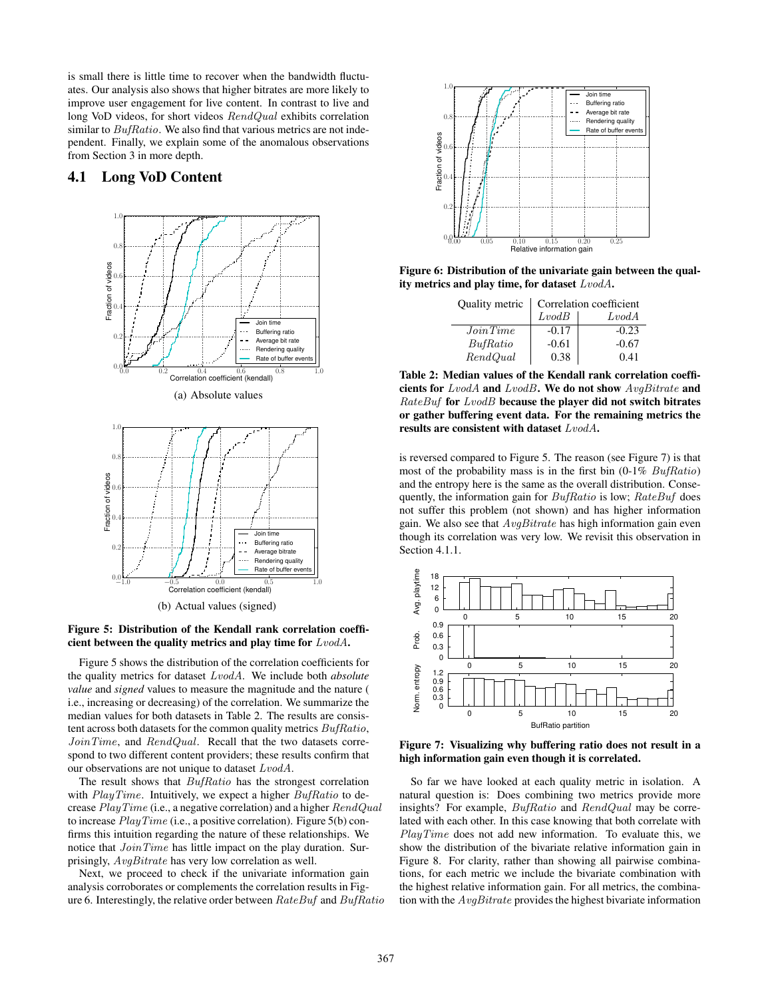is small there is little time to recover when the bandwidth fluctuates. Our analysis also shows that higher bitrates are more likely to improve user engagement for live content. In contrast to live and long VoD videos, for short videos RendQual exhibits correlation similar to  $But Ratio$ . We also find that various metrics are not independent. Finally, we explain some of the anomalous observations from Section 3 in more depth.

#### 4.1 Long VoD Content



Figure 5: Distribution of the Kendall rank correlation coefficient between the quality metrics and play time for LvodA.

Figure 5 shows the distribution of the correlation coefficients for the quality metrics for dataset LvodA. We include both *absolute value* and *signed* values to measure the magnitude and the nature ( i.e., increasing or decreasing) of the correlation. We summarize the median values for both datasets in Table 2. The results are consistent across both datasets for the common quality metrics BufRatio, JoinTime, and RendQual. Recall that the two datasets correspond to two different content providers; these results confirm that our observations are not unique to dataset LvodA.

The result shows that  $ButRatic$  has the strongest correlation with *PlayTime*. Intuitively, we expect a higher *BufRatio* to decrease  $PlayTime$  (i.e., a negative correlation) and a higher  $RendQual$ to increase  $PlayTime$  (i.e., a positive correlation). Figure 5(b) confirms this intuition regarding the nature of these relationships. We notice that  $JoinTime$  has little impact on the play duration. Surprisingly, AvgBitrate has very low correlation as well.

Next, we proceed to check if the univariate information gain analysis corroborates or complements the correlation results in Figure 6. Interestingly, the relative order between  $RateBut$  and  $But Ratio$ 



Figure 6: Distribution of the univariate gain between the quality metrics and play time, for dataset  $LvodA$ .

|                     | Quality metric   Correlation coefficient |         |
|---------------------|------------------------------------------|---------|
|                     | LvodB                                    | LvodA   |
| JoinTime            | $-0.17$                                  | $-0.23$ |
| BufRatio            | $-0.61$                                  | $-0.67$ |
| $\mathit{RendQual}$ | 0.38                                     | 0.41    |

Table 2: Median values of the Kendall rank correlation coefficients for LvodA and LvodB. We do not show AvgBitrate and RateBuf for LvodB because the player did not switch bitrates or gather buffering event data. For the remaining metrics the results are consistent with dataset LvodA.

is reversed compared to Figure 5. The reason (see Figure 7) is that most of the probability mass is in the first bin (0-1% BufRatio) and the entropy here is the same as the overall distribution. Consequently, the information gain for BufRatio is low; RateBuf does not suffer this problem (not shown) and has higher information gain. We also see that  $AvgBitrate$  has high information gain even though its correlation was very low. We revisit this observation in Section 4.1.1.



Figure 7: Visualizing why buffering ratio does not result in a high information gain even though it is correlated.

So far we have looked at each quality metric in isolation. A natural question is: Does combining two metrics provide more insights? For example, *BufRatio* and *RendQual* may be correlated with each other. In this case knowing that both correlate with PlayTime does not add new information. To evaluate this, we show the distribution of the bivariate relative information gain in Figure 8. For clarity, rather than showing all pairwise combinations, for each metric we include the bivariate combination with the highest relative information gain. For all metrics, the combination with the  $AvgBitrate$  provides the highest bivariate information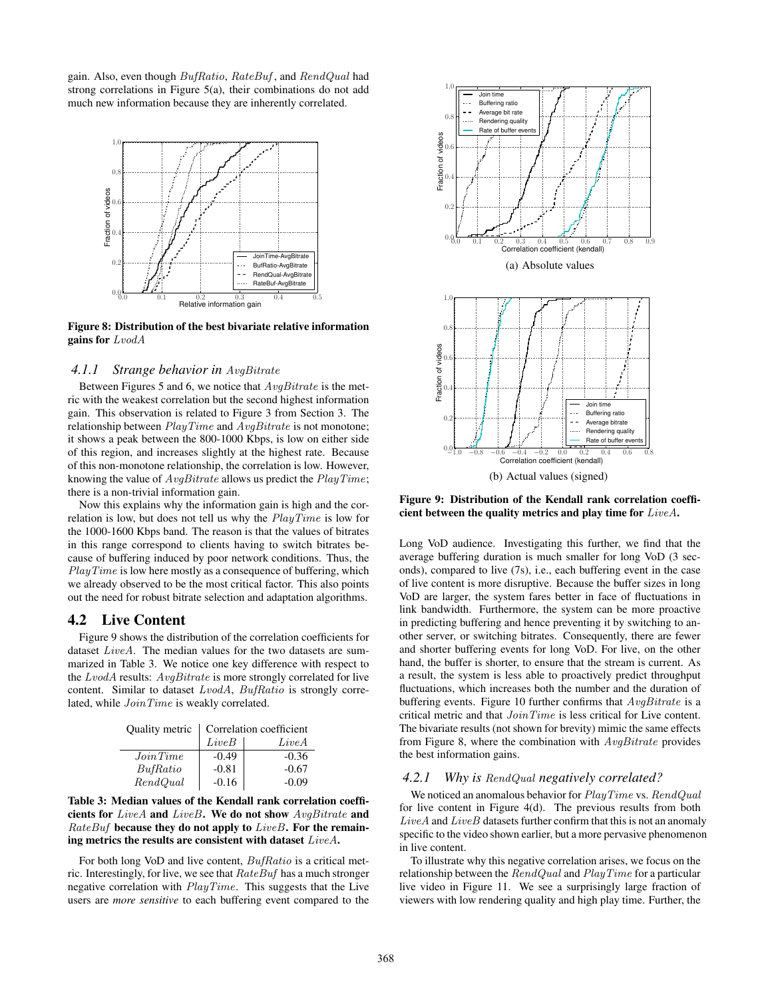gain. Also, even though BufRatio, RateBuf , and RendQual had strong correlations in Figure 5(a), their combinations do not add much new information because they are inherently correlated.



Figure 8: Distribution of the best bivariate relative information gains for LvodA

#### *4.1.1 Strange behavior in* AvgBitrate

Between Figures 5 and 6, we notice that  $AvgBitrate$  is the metric with the weakest correlation but the second highest information gain. This observation is related to Figure 3 from Section 3. The relationship between  $PlayTime$  and  $AvgBitrate$  is not monotone; it shows a peak between the 800-1000 Kbps, is low on either side of this region, and increases slightly at the highest rate. Because of this non-monotone relationship, the correlation is low. However, knowing the value of AvgBitrate allows us predict the PlayTime; there is a non-trivial information gain.

Now this explains why the information gain is high and the correlation is low, but does not tell us why the  $PlayTime$  is low for the 1000-1600 Kbps band. The reason is that the values of bitrates in this range correspond to clients having to switch bitrates because of buffering induced by poor network conditions. Thus, the  $PlayTime$  is low here mostly as a consequence of buffering, which we already observed to be the most critical factor. This also points out the need for robust bitrate selection and adaptation algorithms.

#### 4.2 Live Content

Figure 9 shows the distribution of the correlation coefficients for dataset LiveA. The median values for the two datasets are summarized in Table 3. We notice one key difference with respect to the LvodA results: AvgBitrate is more strongly correlated for live content. Similar to dataset LvodA, BufRatio is strongly correlated, while JoinTime is weakly correlated.

| Quality metric      | Correlation coefficient |         |
|---------------------|-------------------------|---------|
|                     | LiveB                   | LiveA   |
| JoinTime            | $-0.49$                 | $-0.36$ |
| BufRatio            | $-0.81$                 | $-0.67$ |
| $\mathit{RendQual}$ | $-0.16$                 | $-0.09$ |

Table 3: Median values of the Kendall rank correlation coefficients for LiveA and LiveB. We do not show AvgBitrate and RateBuf because they do not apply to LiveB. For the remaining metrics the results are consistent with dataset LiveA.

For both long VoD and live content,  $\frac{ByfRatio}{B}$  is a critical metric. Interestingly, for live, we see that  $RateBuf$  has a much stronger negative correlation with  $PlayTime$ . This suggests that the Live users are *more sensitive* to each buffering event compared to the



Figure 9: Distribution of the Kendall rank correlation coefficient between the quality metrics and play time for LiveA.

Long VoD audience. Investigating this further, we find that the average buffering duration is much smaller for long VoD (3 seconds), compared to live (7s), i.e., each buffering event in the case of live content is more disruptive. Because the buffer sizes in long VoD are larger, the system fares better in face of fluctuations in link bandwidth. Furthermore, the system can be more proactive in predicting buffering and hence preventing it by switching to another server, or switching bitrates. Consequently, there are fewer and shorter buffering events for long VoD. For live, on the other hand, the buffer is shorter, to ensure that the stream is current. As a result, the system is less able to proactively predict throughput fluctuations, which increases both the number and the duration of buffering events. Figure 10 further confirms that  $AvgBitrate$  is a critical metric and that JoinTime is less critical for Live content. The bivariate results (not shown for brevity) mimic the same effects from Figure 8, where the combination with  $AvgBitrate$  provides the best information gains.

#### *4.2.1 Why is* RendQual *negatively correlated?*

We noticed an anomalous behavior for  $PlayTime$  vs.  $RendQual$ for live content in Figure 4(d). The previous results from both  $LiveA$  and  $LiveB$  datasets further confirm that this is not an anomaly specific to the video shown earlier, but a more pervasive phenomenon in live content.

To illustrate why this negative correlation arises, we focus on the relationship between the  $\text{Rendquad}$  and  $\text{PlayTime}$  for a particular live video in Figure 11. We see a surprisingly large fraction of viewers with low rendering quality and high play time. Further, the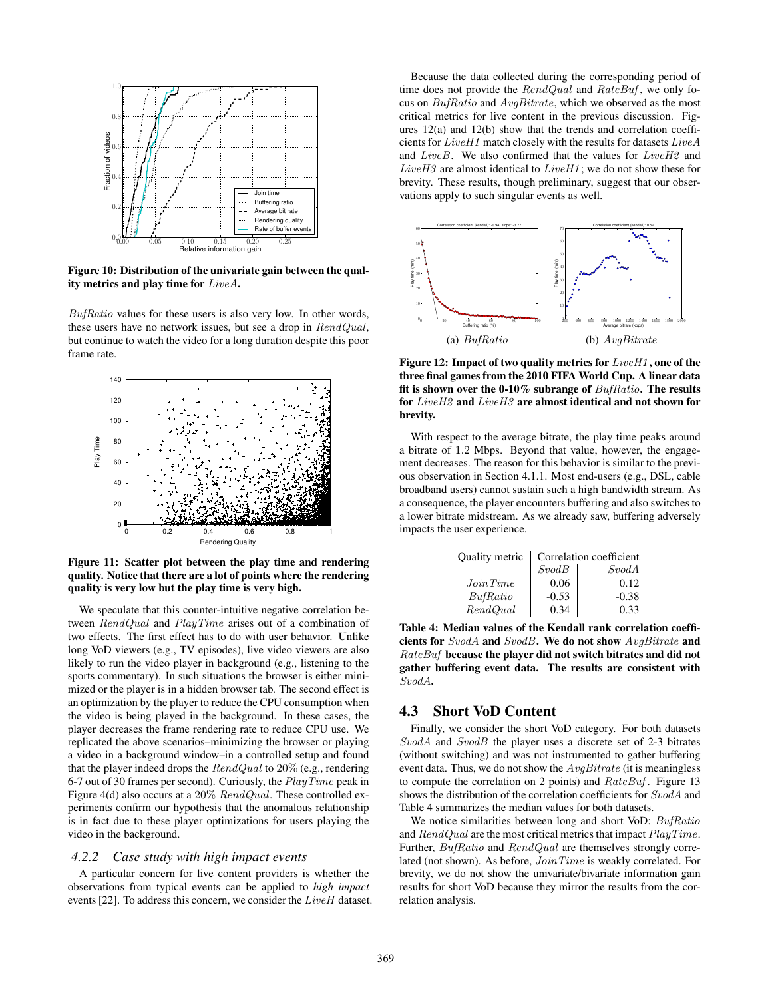

Figure 10: Distribution of the univariate gain between the quality metrics and play time for LiveA.

BufRatio values for these users is also very low. In other words, these users have no network issues, but see a drop in RendQual, but continue to watch the video for a long duration despite this poor frame rate.



Figure 11: Scatter plot between the play time and rendering quality. Notice that there are a lot of points where the rendering quality is very low but the play time is very high.

We speculate that this counter-intuitive negative correlation between RendQual and PlayTime arises out of a combination of two effects. The first effect has to do with user behavior. Unlike long VoD viewers (e.g., TV episodes), live video viewers are also likely to run the video player in background (e.g., listening to the sports commentary). In such situations the browser is either minimized or the player is in a hidden browser tab. The second effect is an optimization by the player to reduce the CPU consumption when the video is being played in the background. In these cases, the player decreases the frame rendering rate to reduce CPU use. We replicated the above scenarios–minimizing the browser or playing a video in a background window–in a controlled setup and found that the player indeed drops the  $RendQual$  to 20% (e.g., rendering 6-7 out of 30 frames per second). Curiously, the  $PlayTime$  peak in Figure 4(d) also occurs at a  $20\%$  RendQual. These controlled experiments confirm our hypothesis that the anomalous relationship is in fact due to these player optimizations for users playing the video in the background.

#### *4.2.2 Case study with high impact events*

A particular concern for live content providers is whether the observations from typical events can be applied to *high impact* events [22]. To address this concern, we consider the  $LiveH$  dataset.

Because the data collected during the corresponding period of time does not provide the  $RendQual$  and  $RateBut$ , we only focus on BufRatio and AvgBitrate, which we observed as the most critical metrics for live content in the previous discussion. Figures 12(a) and 12(b) show that the trends and correlation coefficients for LiveH1 match closely with the results for datasets LiveA and LiveB. We also confirmed that the values for LiveH2 and *LiveH3* are almost identical to  $LiveH1$ ; we do not show these for brevity. These results, though preliminary, suggest that our observations apply to such singular events as well.



Figure 12: Impact of two quality metrics for  $LiveH1$ , one of the three final games from the 2010 FIFA World Cup. A linear data fit is shown over the 0-10% subrange of BufRatio. The results for LiveH2 and LiveH3 are almost identical and not shown for brevity.

With respect to the average bitrate, the play time peaks around a bitrate of 1.2 Mbps. Beyond that value, however, the engagement decreases. The reason for this behavior is similar to the previous observation in Section 4.1.1. Most end-users (e.g., DSL, cable broadband users) cannot sustain such a high bandwidth stream. As a consequence, the player encounters buffering and also switches to a lower bitrate midstream. As we already saw, buffering adversely impacts the user experience.

|                     | Quality metric   Correlation coefficient |         |
|---------------------|------------------------------------------|---------|
|                     | SvodB                                    | SvodA   |
| JoinTime            | 0.06                                     | 0.12    |
| BufRatio            | $-0.53$                                  | $-0.38$ |
| $\mathit{RendQual}$ | 0.34                                     | 0.33    |

Table 4: Median values of the Kendall rank correlation coefficients for SvodA and SvodB. We do not show AvgBitrate and RateBuf because the player did not switch bitrates and did not gather buffering event data. The results are consistent with SvodA.

## 4.3 Short VoD Content

Finally, we consider the short VoD category. For both datasets SvodA and SvodB the player uses a discrete set of 2-3 bitrates (without switching) and was not instrumented to gather buffering event data. Thus, we do not show the  $AvgBitrate$  (it is meaningless to compute the correlation on 2 points) and  $RateBut$ . Figure 13 shows the distribution of the correlation coefficients for SvodA and Table 4 summarizes the median values for both datasets.

We notice similarities between long and short VoD: BufRatio and  $\text{Rendquad}$  are the most critical metrics that impact  $\text{PlayTime}$ . Further, BufRatio and RendQual are themselves strongly correlated (not shown). As before, JoinTime is weakly correlated. For brevity, we do not show the univariate/bivariate information gain results for short VoD because they mirror the results from the correlation analysis.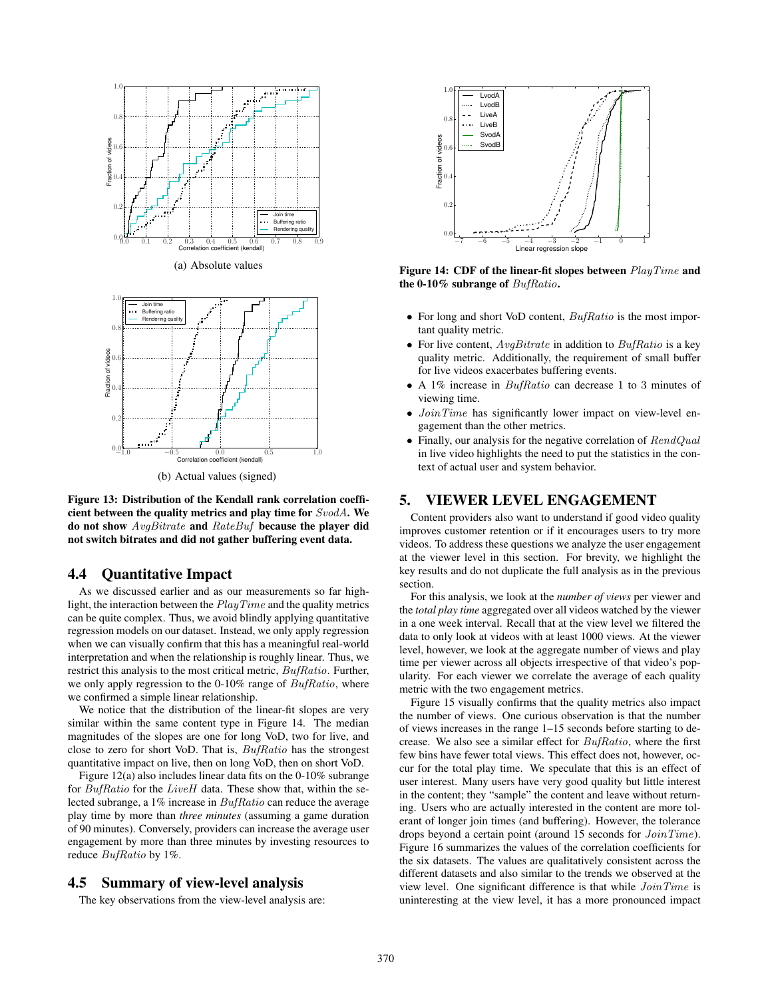

Figure 13: Distribution of the Kendall rank correlation coefficient between the quality metrics and play time for SvodA. We do not show  $AvgBitrate$  and  $RateBuf$  because the player did not switch bitrates and did not gather buffering event data.

#### 4.4 Quantitative Impact

As we discussed earlier and as our measurements so far highlight, the interaction between the  $PlayTime$  and the quality metrics can be quite complex. Thus, we avoid blindly applying quantitative regression models on our dataset. Instead, we only apply regression when we can visually confirm that this has a meaningful real-world interpretation and when the relationship is roughly linear. Thus, we restrict this analysis to the most critical metric, BufRatio. Further, we only apply regression to the 0-10% range of *BufRatio*, where we confirmed a simple linear relationship.

We notice that the distribution of the linear-fit slopes are very similar within the same content type in Figure 14. The median magnitudes of the slopes are one for long VoD, two for live, and close to zero for short VoD. That is, BufRatio has the strongest quantitative impact on live, then on long VoD, then on short VoD.

Figure 12(a) also includes linear data fits on the 0-10% subrange for BufRatio for the LiveH data. These show that, within the selected subrange, a 1% increase in BufRatio can reduce the average play time by more than *three minutes* (assuming a game duration of 90 minutes). Conversely, providers can increase the average user engagement by more than three minutes by investing resources to reduce BufRatio by 1%.

#### 4.5 Summary of view-level analysis

The key observations from the view-level analysis are:



Figure 14: CDF of the linear-fit slopes between  $PlayTime$  and the 0-10% subrange of  $\text{Buffratio}$ .

- For long and short VoD content, BufRatio is the most important quality metric.
- For live content,  $AvgBitrate$  in addition to  $Buffatio$  is a key quality metric. Additionally, the requirement of small buffer for live videos exacerbates buffering events.
- A 1% increase in *BufRatio* can decrease 1 to 3 minutes of viewing time.
- *JoinTime* has significantly lower impact on view-level engagement than the other metrics.
- Finally, our analysis for the negative correlation of  $RendQual$ in live video highlights the need to put the statistics in the context of actual user and system behavior.

#### 5. VIEWER LEVEL ENGAGEMENT

Content providers also want to understand if good video quality improves customer retention or if it encourages users to try more videos. To address these questions we analyze the user engagement at the viewer level in this section. For brevity, we highlight the key results and do not duplicate the full analysis as in the previous section.

For this analysis, we look at the *number of views* per viewer and the *total play time* aggregated over all videos watched by the viewer in a one week interval. Recall that at the view level we filtered the data to only look at videos with at least 1000 views. At the viewer level, however, we look at the aggregate number of views and play time per viewer across all objects irrespective of that video's popularity. For each viewer we correlate the average of each quality metric with the two engagement metrics.

Figure 15 visually confirms that the quality metrics also impact the number of views. One curious observation is that the number of views increases in the range 1–15 seconds before starting to decrease. We also see a similar effect for BufRatio, where the first few bins have fewer total views. This effect does not, however, occur for the total play time. We speculate that this is an effect of user interest. Many users have very good quality but little interest in the content; they "sample" the content and leave without returning. Users who are actually interested in the content are more tolerant of longer join times (and buffering). However, the tolerance drops beyond a certain point (around 15 seconds for JoinTime). Figure 16 summarizes the values of the correlation coefficients for the six datasets. The values are qualitatively consistent across the different datasets and also similar to the trends we observed at the view level. One significant difference is that while JoinTime is uninteresting at the view level, it has a more pronounced impact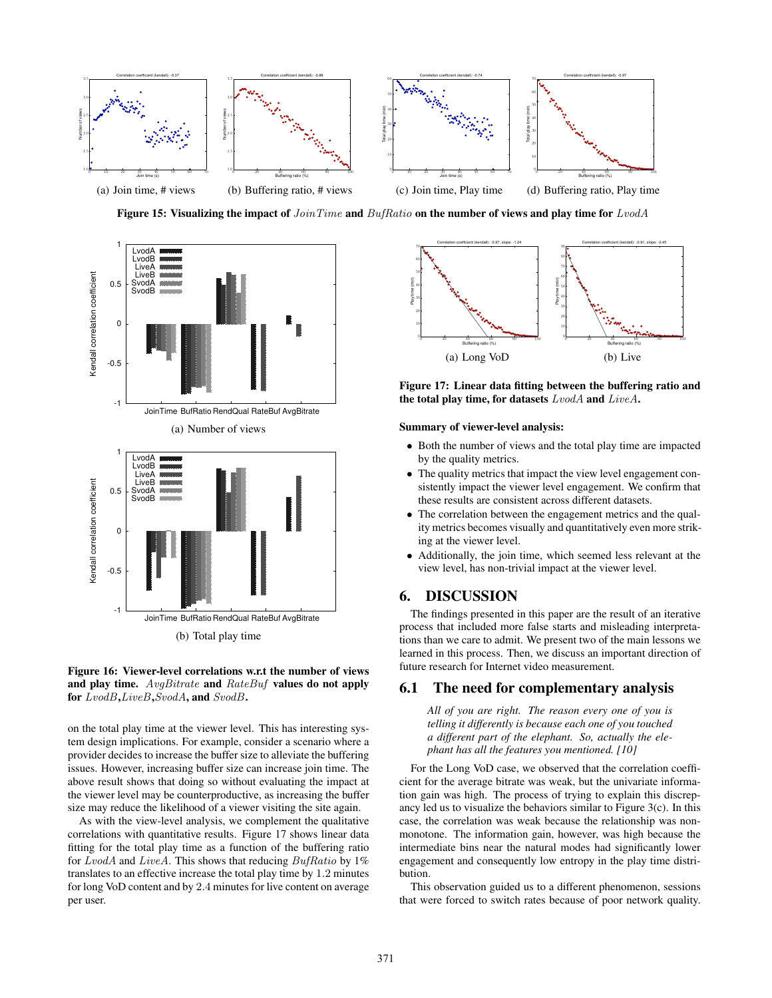

Figure 15: Visualizing the impact of  $JoinTime$  and  $Buffatio$  on the number of views and play time for  $LvodA$ 





on the total play time at the viewer level. This has interesting system design implications. For example, consider a scenario where a provider decides to increase the buffer size to alleviate the buffering issues. However, increasing buffer size can increase join time. The above result shows that doing so without evaluating the impact at the viewer level may be counterproductive, as increasing the buffer size may reduce the likelihood of a viewer visiting the site again.

As with the view-level analysis, we complement the qualitative correlations with quantitative results. Figure 17 shows linear data fitting for the total play time as a function of the buffering ratio for  $LvodA$  and  $LiveA$ . This shows that reducing  $ButRatio$  by 1% translates to an effective increase the total play time by 1.2 minutes for long VoD content and by 2.4 minutes for live content on average per user.



Figure 17: Linear data fitting between the buffering ratio and the total play time, for datasets LvodA and LiveA.

#### Summary of viewer-level analysis:

- Both the number of views and the total play time are impacted by the quality metrics.
- The quality metrics that impact the view level engagement consistently impact the viewer level engagement. We confirm that these results are consistent across different datasets.
- The correlation between the engagement metrics and the quality metrics becomes visually and quantitatively even more striking at the viewer level.
- Additionally, the join time, which seemed less relevant at the view level, has non-trivial impact at the viewer level.

## 6. DISCUSSION

The findings presented in this paper are the result of an iterative process that included more false starts and misleading interpretations than we care to admit. We present two of the main lessons we learned in this process. Then, we discuss an important direction of future research for Internet video measurement.

#### 6.1 The need for complementary analysis

*All of you are right. The reason every one of you is telling it differently is because each one of you touched a different part of the elephant. So, actually the elephant has all the features you mentioned. [10]*

For the Long VoD case, we observed that the correlation coefficient for the average bitrate was weak, but the univariate information gain was high. The process of trying to explain this discrepancy led us to visualize the behaviors similar to Figure  $3(c)$ . In this case, the correlation was weak because the relationship was nonmonotone. The information gain, however, was high because the intermediate bins near the natural modes had significantly lower engagement and consequently low entropy in the play time distribution.

This observation guided us to a different phenomenon, sessions that were forced to switch rates because of poor network quality.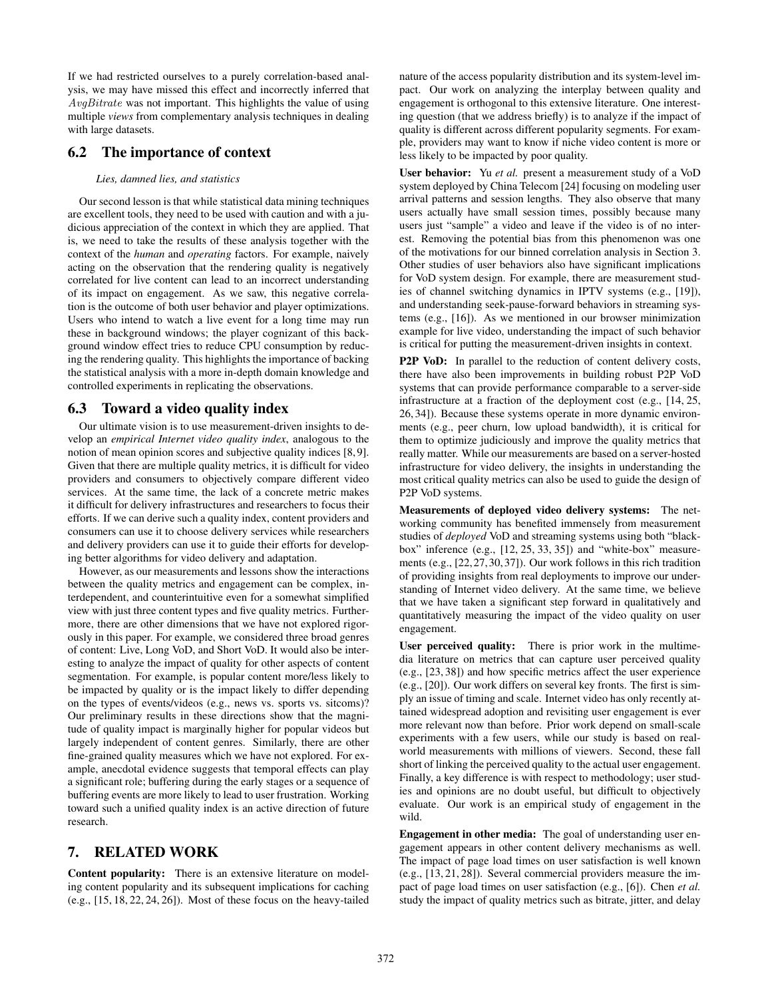If we had restricted ourselves to a purely correlation-based analysis, we may have missed this effect and incorrectly inferred that AvgBitrate was not important. This highlights the value of using multiple *views* from complementary analysis techniques in dealing with large datasets.

# 6.2 The importance of context

#### *Lies, damned lies, and statistics*

Our second lesson is that while statistical data mining techniques are excellent tools, they need to be used with caution and with a judicious appreciation of the context in which they are applied. That is, we need to take the results of these analysis together with the context of the *human* and *operating* factors. For example, naively acting on the observation that the rendering quality is negatively correlated for live content can lead to an incorrect understanding of its impact on engagement. As we saw, this negative correlation is the outcome of both user behavior and player optimizations. Users who intend to watch a live event for a long time may run these in background windows; the player cognizant of this background window effect tries to reduce CPU consumption by reducing the rendering quality. This highlights the importance of backing the statistical analysis with a more in-depth domain knowledge and controlled experiments in replicating the observations.

#### 6.3 Toward a video quality index

Our ultimate vision is to use measurement-driven insights to develop an *empirical Internet video quality index*, analogous to the notion of mean opinion scores and subjective quality indices [8, 9]. Given that there are multiple quality metrics, it is difficult for video providers and consumers to objectively compare different video services. At the same time, the lack of a concrete metric makes it difficult for delivery infrastructures and researchers to focus their efforts. If we can derive such a quality index, content providers and consumers can use it to choose delivery services while researchers and delivery providers can use it to guide their efforts for developing better algorithms for video delivery and adaptation.

However, as our measurements and lessons show the interactions between the quality metrics and engagement can be complex, interdependent, and counterintuitive even for a somewhat simplified view with just three content types and five quality metrics. Furthermore, there are other dimensions that we have not explored rigorously in this paper. For example, we considered three broad genres of content: Live, Long VoD, and Short VoD. It would also be interesting to analyze the impact of quality for other aspects of content segmentation. For example, is popular content more/less likely to be impacted by quality or is the impact likely to differ depending on the types of events/videos (e.g., news vs. sports vs. sitcoms)? Our preliminary results in these directions show that the magnitude of quality impact is marginally higher for popular videos but largely independent of content genres. Similarly, there are other fine-grained quality measures which we have not explored. For example, anecdotal evidence suggests that temporal effects can play a significant role; buffering during the early stages or a sequence of buffering events are more likely to lead to user frustration. Working toward such a unified quality index is an active direction of future research.

# 7. RELATED WORK

Content popularity: There is an extensive literature on modeling content popularity and its subsequent implications for caching (e.g., [15, 18, 22, 24, 26]). Most of these focus on the heavy-tailed nature of the access popularity distribution and its system-level impact. Our work on analyzing the interplay between quality and engagement is orthogonal to this extensive literature. One interesting question (that we address briefly) is to analyze if the impact of quality is different across different popularity segments. For example, providers may want to know if niche video content is more or less likely to be impacted by poor quality.

User behavior: Yu *et al.* present a measurement study of a VoD system deployed by China Telecom [24] focusing on modeling user arrival patterns and session lengths. They also observe that many users actually have small session times, possibly because many users just "sample" a video and leave if the video is of no interest. Removing the potential bias from this phenomenon was one of the motivations for our binned correlation analysis in Section 3. Other studies of user behaviors also have significant implications for VoD system design. For example, there are measurement studies of channel switching dynamics in IPTV systems (e.g., [19]), and understanding seek-pause-forward behaviors in streaming systems (e.g., [16]). As we mentioned in our browser minimization example for live video, understanding the impact of such behavior is critical for putting the measurement-driven insights in context.

P2P VoD: In parallel to the reduction of content delivery costs, there have also been improvements in building robust P2P VoD systems that can provide performance comparable to a server-side infrastructure at a fraction of the deployment cost (e.g., [14, 25, 26, 34]). Because these systems operate in more dynamic environments (e.g., peer churn, low upload bandwidth), it is critical for them to optimize judiciously and improve the quality metrics that really matter. While our measurements are based on a server-hosted infrastructure for video delivery, the insights in understanding the most critical quality metrics can also be used to guide the design of P2P VoD systems.

Measurements of deployed video delivery systems: The networking community has benefited immensely from measurement studies of *deployed* VoD and streaming systems using both "blackbox" inference (e.g., [12, 25, 33, 35]) and "white-box" measurements (e.g., [22, 27, 30, 37]). Our work follows in this rich tradition of providing insights from real deployments to improve our understanding of Internet video delivery. At the same time, we believe that we have taken a significant step forward in qualitatively and quantitatively measuring the impact of the video quality on user engagement.

User perceived quality: There is prior work in the multimedia literature on metrics that can capture user perceived quality (e.g., [23, 38]) and how specific metrics affect the user experience (e.g., [20]). Our work differs on several key fronts. The first is simply an issue of timing and scale. Internet video has only recently attained widespread adoption and revisiting user engagement is ever more relevant now than before. Prior work depend on small-scale experiments with a few users, while our study is based on realworld measurements with millions of viewers. Second, these fall short of linking the perceived quality to the actual user engagement. Finally, a key difference is with respect to methodology; user studies and opinions are no doubt useful, but difficult to objectively evaluate. Our work is an empirical study of engagement in the wild.

Engagement in other media: The goal of understanding user engagement appears in other content delivery mechanisms as well. The impact of page load times on user satisfaction is well known (e.g., [13, 21, 28]). Several commercial providers measure the impact of page load times on user satisfaction (e.g., [6]). Chen *et al.* study the impact of quality metrics such as bitrate, jitter, and delay